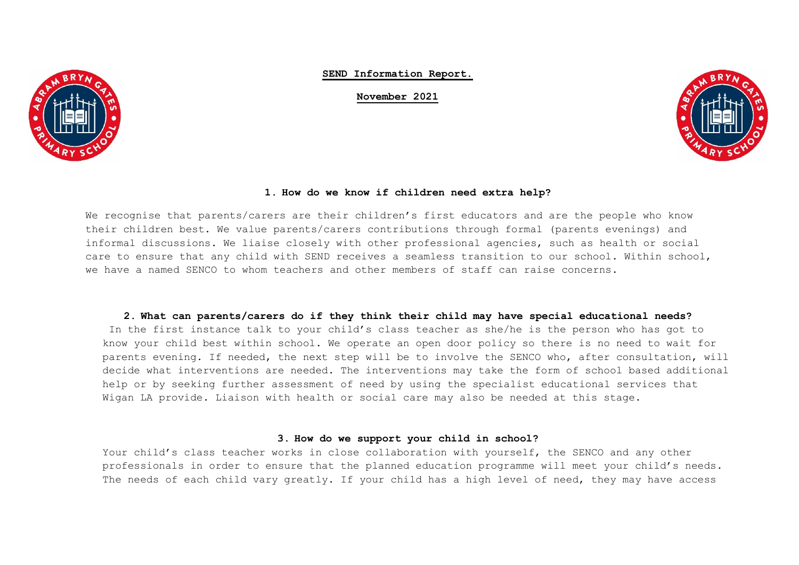

**SEND Information Report.**

**November 2021**



## **1. How do we know if children need extra help?**

We recognise that parents/carers are their children's first educators and are the people who know their children best. We value parents/carers contributions through formal (parents evenings) and informal discussions. We liaise closely with other professional agencies, such as health or social care to ensure that any child with SEND receives a seamless transition to our school. Within school, we have a named SENCO to whom teachers and other members of staff can raise concerns.

#### **2. What can parents/carers do if they think their child may have special educational needs?**

In the first instance talk to your child's class teacher as she/he is the person who has got to know your child best within school. We operate an open door policy so there is no need to wait for parents evening. If needed, the next step will be to involve the SENCO who, after consultation, will decide what interventions are needed. The interventions may take the form of school based additional help or by seeking further assessment of need by using the specialist educational services that Wigan LA provide. Liaison with health or social care may also be needed at this stage.

### **3. How do we support your child in school?**

Your child's class teacher works in close collaboration with yourself, the SENCO and any other professionals in order to ensure that the planned education programme will meet your child's needs. The needs of each child vary greatly. If your child has a high level of need, they may have access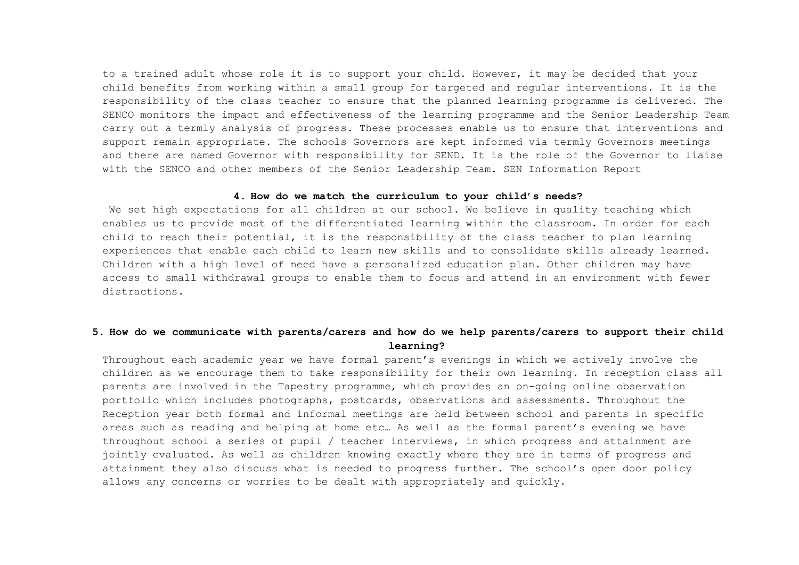to a trained adult whose role it is to support your child. However, it may be decided that your child benefits from working within a small group for targeted and regular interventions. It is the responsibility of the class teacher to ensure that the planned learning programme is delivered. The SENCO monitors the impact and effectiveness of the learning programme and the Senior Leadership Team carry out a termly analysis of progress. These processes enable us to ensure that interventions and support remain appropriate. The schools Governors are kept informed via termly Governors meetings and there are named Governor with responsibility for SEND. It is the role of the Governor to liaise with the SENCO and other members of the Senior Leadership Team. SEN Information Report

#### **4. How do we match the curriculum to your child's needs?**

We set high expectations for all children at our school. We believe in quality teaching which enables us to provide most of the differentiated learning within the classroom. In order for each child to reach their potential, it is the responsibility of the class teacher to plan learning experiences that enable each child to learn new skills and to consolidate skills already learned. Children with a high level of need have a personalized education plan. Other children may have access to small withdrawal groups to enable them to focus and attend in an environment with fewer distractions.

# **5. How do we communicate with parents/carers and how do we help parents/carers to support their child learning?**

Throughout each academic year we have formal parent's evenings in which we actively involve the children as we encourage them to take responsibility for their own learning. In reception class all parents are involved in the Tapestry programme, which provides an on-going online observation portfolio which includes photographs, postcards, observations and assessments. Throughout the Reception year both formal and informal meetings are held between school and parents in specific areas such as reading and helping at home etc… As well as the formal parent's evening we have throughout school a series of pupil / teacher interviews, in which progress and attainment are jointly evaluated. As well as children knowing exactly where they are in terms of progress and attainment they also discuss what is needed to progress further. The school's open door policy allows any concerns or worries to be dealt with appropriately and quickly.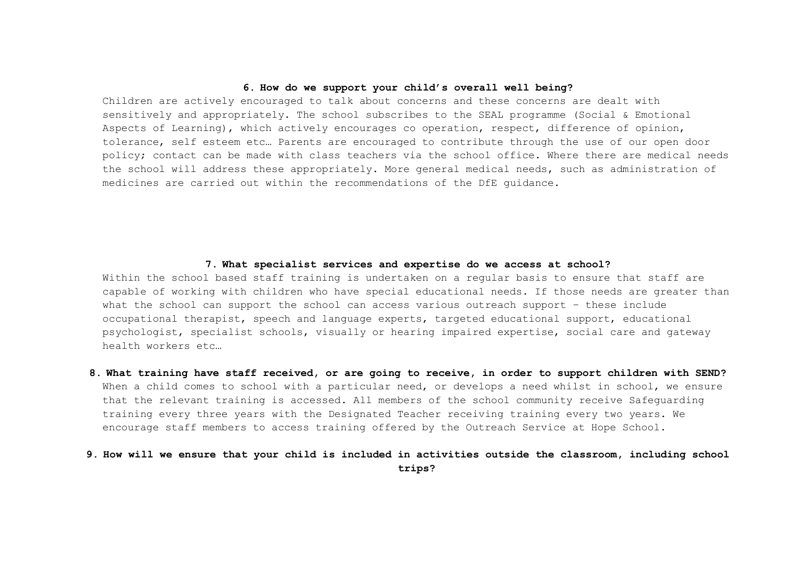## **6. How do we support your child's overall well being?**

Children are actively encouraged to talk about concerns and these concerns are dealt with sensitively and appropriately. The school subscribes to the SEAL programme (Social & Emotional Aspects of Learning), which actively encourages co operation, respect, difference of opinion, tolerance, self esteem etc… Parents are encouraged to contribute through the use of our open door policy; contact can be made with class teachers via the school office. Where there are medical needs the school will address these appropriately. More general medical needs, such as administration of medicines are carried out within the recommendations of the DfE guidance.

## **7. What specialist services and expertise do we access at school?**

Within the school based staff training is undertaken on a regular basis to ensure that staff are capable of working with children who have special educational needs. If those needs are greater than what the school can support the school can access various outreach support - these include occupational therapist, speech and language experts, targeted educational support, educational psychologist, specialist schools, visually or hearing impaired expertise, social care and gateway health workers etc…

**8. What training have staff received, or are going to receive, in order to support children with SEND?** When a child comes to school with a particular need, or develops a need whilst in school, we ensure that the relevant training is accessed. All members of the school community receive Safeguarding training every three years with the Designated Teacher receiving training every two years. We encourage staff members to access training offered by the Outreach Service at Hope School.

# **9. How will we ensure that your child is included in activities outside the classroom, including school trips?**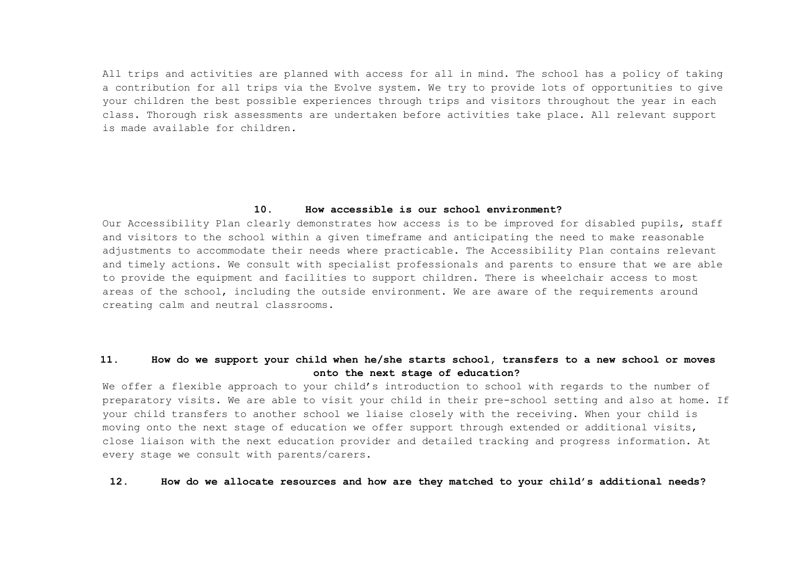All trips and activities are planned with access for all in mind. The school has a policy of taking a contribution for all trips via the Evolve system. We try to provide lots of opportunities to give your children the best possible experiences through trips and visitors throughout the year in each class. Thorough risk assessments are undertaken before activities take place. All relevant support is made available for children.

### **10. How accessible is our school environment?**

Our Accessibility Plan clearly demonstrates how access is to be improved for disabled pupils, staff and visitors to the school within a given timeframe and anticipating the need to make reasonable adjustments to accommodate their needs where practicable. The Accessibility Plan contains relevant and timely actions. We consult with specialist professionals and parents to ensure that we are able to provide the equipment and facilities to support children. There is wheelchair access to most areas of the school, including the outside environment. We are aware of the requirements around creating calm and neutral classrooms.

# **11. How do we support your child when he/she starts school, transfers to a new school or moves onto the next stage of education?**

We offer a flexible approach to your child's introduction to school with regards to the number of preparatory visits. We are able to visit your child in their pre-school setting and also at home. If your child transfers to another school we liaise closely with the receiving. When your child is moving onto the next stage of education we offer support through extended or additional visits, close liaison with the next education provider and detailed tracking and progress information. At every stage we consult with parents/carers.

#### **12. How do we allocate resources and how are they matched to your child's additional needs?**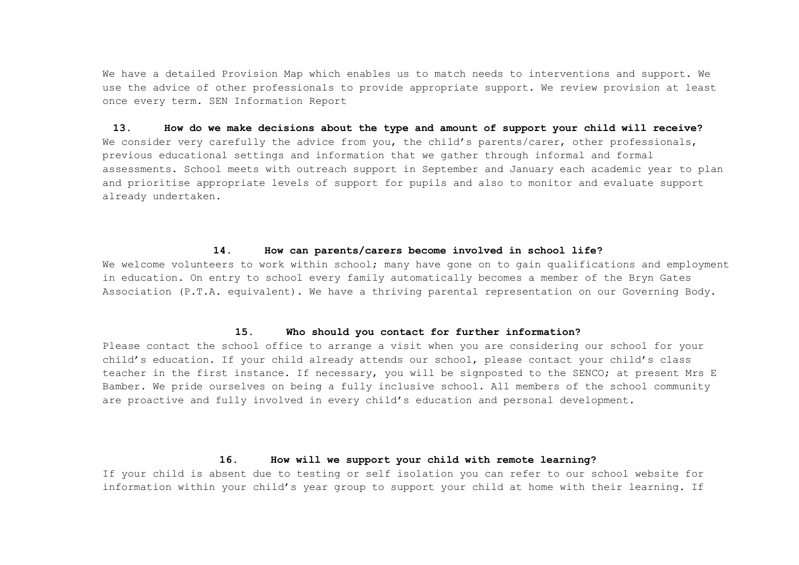We have a detailed Provision Map which enables us to match needs to interventions and support. We use the advice of other professionals to provide appropriate support. We review provision at least once every term. SEN Information Report

# **13. How do we make decisions about the type and amount of support your child will receive?** We consider very carefully the advice from you, the child's parents/carer, other professionals, previous educational settings and information that we gather through informal and formal assessments. School meets with outreach support in September and January each academic year to plan and prioritise appropriate levels of support for pupils and also to monitor and evaluate support already undertaken.

#### **14. How can parents/carers become involved in school life?**

We welcome volunteers to work within school; many have gone on to gain qualifications and employment in education. On entry to school every family automatically becomes a member of the Bryn Gates Association (P.T.A. equivalent). We have a thriving parental representation on our Governing Body.

### **15. Who should you contact for further information?**

Please contact the school office to arrange a visit when you are considering our school for your child's education. If your child already attends our school, please contact your child's class teacher in the first instance. If necessary, you will be signposted to the SENCO; at present Mrs E Bamber. We pride ourselves on being a fully inclusive school. All members of the school community are proactive and fully involved in every child's education and personal development.

#### **16. How will we support your child with remote learning?**

If your child is absent due to testing or self isolation you can refer to our school website for information within your child's year group to support your child at home with their learning. If